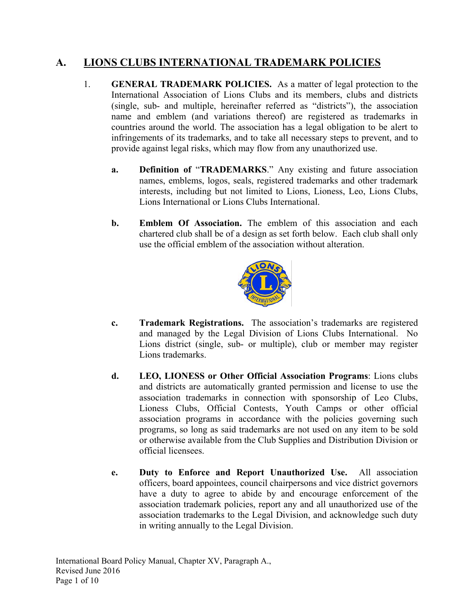## **A. LIONS CLUBS INTERNATIONAL TRADEMARK POLICIES**

- 1. **GENERAL TRADEMARK POLICIES.** As a matter of legal protection to the International Association of Lions Clubs and its members, clubs and districts (single, sub- and multiple, hereinafter referred as "districts"), the association name and emblem (and variations thereof) are registered as trademarks in countries around the world. The association has a legal obligation to be alert to infringements of its trademarks, and to take all necessary steps to prevent, and to provide against legal risks, which may flow from any unauthorized use.
	- **a. Definition of** "**TRADEMARKS**." Any existing and future association names, emblems, logos, seals, registered trademarks and other trademark interests, including but not limited to Lions, Lioness, Leo, Lions Clubs, Lions International or Lions Clubs International.
	- **b. Emblem Of Association.** The emblem of this association and each chartered club shall be of a design as set forth below. Each club shall only use the official emblem of the association without alteration.



- **c. Trademark Registrations.** The association's trademarks are registered and managed by the Legal Division of Lions Clubs International. No Lions district (single, sub- or multiple), club or member may register Lions trademarks.
- **d. LEO, LIONESS or Other Official Association Programs**: Lions clubs and districts are automatically granted permission and license to use the association trademarks in connection with sponsorship of Leo Clubs, Lioness Clubs, Official Contests, Youth Camps or other official association programs in accordance with the policies governing such programs, so long as said trademarks are not used on any item to be sold or otherwise available from the Club Supplies and Distribution Division or official licensees.
- **e. Duty to Enforce and Report Unauthorized Use.** All association officers, board appointees, council chairpersons and vice district governors have a duty to agree to abide by and encourage enforcement of the association trademark policies, report any and all unauthorized use of the association trademarks to the Legal Division, and acknowledge such duty in writing annually to the Legal Division.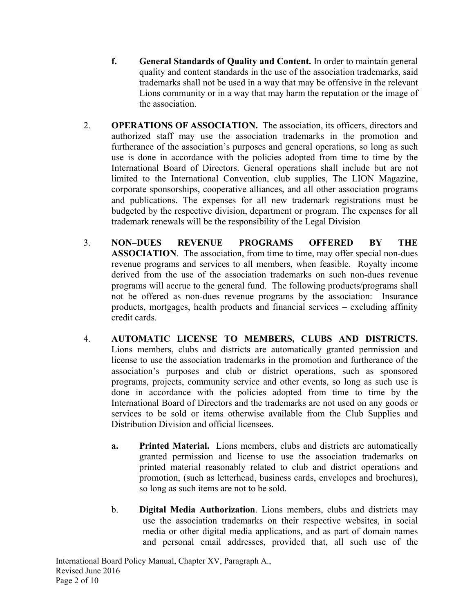- **f. General Standards of Quality and Content.** In order to maintain general quality and content standards in the use of the association trademarks, said trademarks shall not be used in a way that may be offensive in the relevant Lions community or in a way that may harm the reputation or the image of the association.
- 2. **OPERATIONS OF ASSOCIATION.** The association, its officers, directors and authorized staff may use the association trademarks in the promotion and furtherance of the association's purposes and general operations, so long as such use is done in accordance with the policies adopted from time to time by the International Board of Directors. General operations shall include but are not limited to the International Convention, club supplies, The LION Magazine, corporate sponsorships, cooperative alliances, and all other association programs and publications. The expenses for all new trademark registrations must be budgeted by the respective division, department or program. The expenses for all trademark renewals will be the responsibility of the Legal Division
- 3. **NON–DUES REVENUE PROGRAMS OFFERED BY THE ASSOCIATION**. The association, from time to time, may offer special non-dues revenue programs and services to all members, when feasible. Royalty income derived from the use of the association trademarks on such non-dues revenue programs will accrue to the general fund. The following products/programs shall not be offered as non-dues revenue programs by the association: Insurance products, mortgages, health products and financial services – excluding affinity credit cards.
- 4. **AUTOMATIC LICENSE TO MEMBERS, CLUBS AND DISTRICTS.** Lions members, clubs and districts are automatically granted permission and license to use the association trademarks in the promotion and furtherance of the association's purposes and club or district operations, such as sponsored programs, projects, community service and other events, so long as such use is done in accordance with the policies adopted from time to time by the International Board of Directors and the trademarks are not used on any goods or services to be sold or items otherwise available from the Club Supplies and Distribution Division and official licensees.
	- **a. Printed Material.** Lions members, clubs and districts are automatically granted permission and license to use the association trademarks on printed material reasonably related to club and district operations and promotion, (such as letterhead, business cards, envelopes and brochures), so long as such items are not to be sold.
	- b. **Digital Media Authorization**. Lions members, clubs and districts may use the association trademarks on their respective websites, in social media or other digital media applications, and as part of domain names and personal email addresses, provided that, all such use of the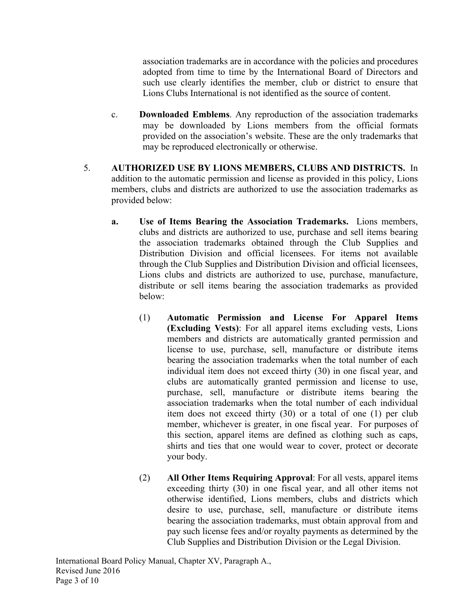association trademarks are in accordance with the policies and procedures adopted from time to time by the International Board of Directors and such use clearly identifies the member, club or district to ensure that Lions Clubs International is not identified as the source of content.

- c. **Downloaded Emblems**. Any reproduction of the association trademarks may be downloaded by Lions members from the official formats provided on the association's website. These are the only trademarks that may be reproduced electronically or otherwise.
- 5. **AUTHORIZED USE BY LIONS MEMBERS, CLUBS AND DISTRICTS.** In addition to the automatic permission and license as provided in this policy, Lions members, clubs and districts are authorized to use the association trademarks as provided below:
	- **a. Use of Items Bearing the Association Trademarks.** Lions members, clubs and districts are authorized to use, purchase and sell items bearing the association trademarks obtained through the Club Supplies and Distribution Division and official licensees. For items not available through the Club Supplies and Distribution Division and official licensees, Lions clubs and districts are authorized to use, purchase, manufacture, distribute or sell items bearing the association trademarks as provided below:
		- (1) **Automatic Permission and License For Apparel Items (Excluding Vests)**: For all apparel items excluding vests, Lions members and districts are automatically granted permission and license to use, purchase, sell, manufacture or distribute items bearing the association trademarks when the total number of each individual item does not exceed thirty (30) in one fiscal year, and clubs are automatically granted permission and license to use, purchase, sell, manufacture or distribute items bearing the association trademarks when the total number of each individual item does not exceed thirty (30) or a total of one (1) per club member, whichever is greater, in one fiscal year. For purposes of this section, apparel items are defined as clothing such as caps, shirts and ties that one would wear to cover, protect or decorate your body.
		- (2) **All Other Items Requiring Approval**: For all vests, apparel items exceeding thirty (30) in one fiscal year, and all other items not otherwise identified, Lions members, clubs and districts which desire to use, purchase, sell, manufacture or distribute items bearing the association trademarks, must obtain approval from and pay such license fees and/or royalty payments as determined by the Club Supplies and Distribution Division or the Legal Division.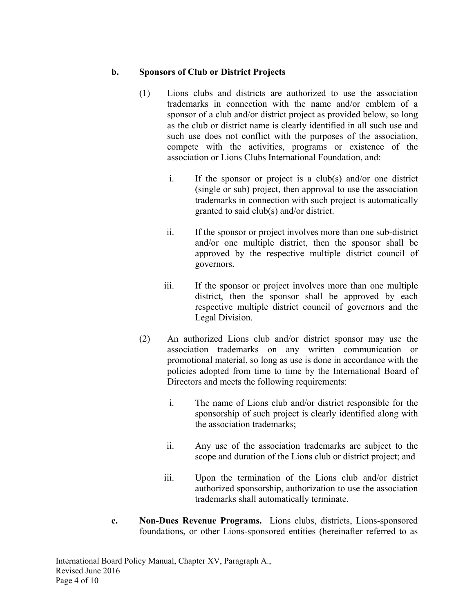## **b. Sponsors of Club or District Projects**

- (1) Lions clubs and districts are authorized to use the association trademarks in connection with the name and/or emblem of a sponsor of a club and/or district project as provided below, so long as the club or district name is clearly identified in all such use and such use does not conflict with the purposes of the association, compete with the activities, programs or existence of the association or Lions Clubs International Foundation, and:
	- i. If the sponsor or project is a club(s) and/or one district (single or sub) project, then approval to use the association trademarks in connection with such project is automatically granted to said club(s) and/or district.
	- ii. If the sponsor or project involves more than one sub-district and/or one multiple district, then the sponsor shall be approved by the respective multiple district council of governors.
	- iii. If the sponsor or project involves more than one multiple district, then the sponsor shall be approved by each respective multiple district council of governors and the Legal Division.
- (2) An authorized Lions club and/or district sponsor may use the association trademarks on any written communication or promotional material, so long as use is done in accordance with the policies adopted from time to time by the International Board of Directors and meets the following requirements:
	- i. The name of Lions club and/or district responsible for the sponsorship of such project is clearly identified along with the association trademarks;
	- ii. Any use of the association trademarks are subject to the scope and duration of the Lions club or district project; and
	- iii. Upon the termination of the Lions club and/or district authorized sponsorship, authorization to use the association trademarks shall automatically terminate.
- **c. Non-Dues Revenue Programs.** Lions clubs, districts, Lions-sponsored foundations, or other Lions-sponsored entities (hereinafter referred to as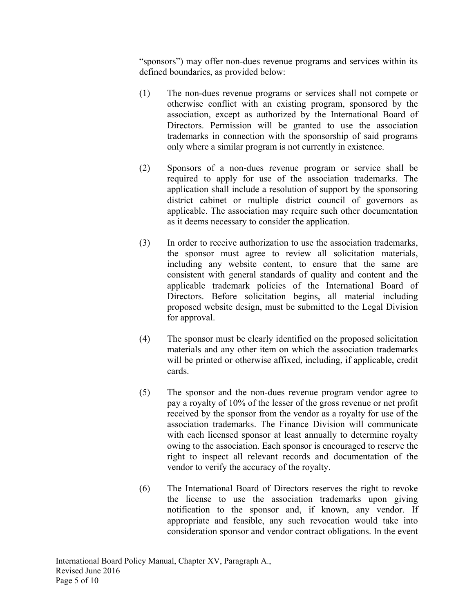"sponsors") may offer non-dues revenue programs and services within its defined boundaries, as provided below:

- (1) The non-dues revenue programs or services shall not compete or otherwise conflict with an existing program, sponsored by the association, except as authorized by the International Board of Directors. Permission will be granted to use the association trademarks in connection with the sponsorship of said programs only where a similar program is not currently in existence.
- (2) Sponsors of a non-dues revenue program or service shall be required to apply for use of the association trademarks. The application shall include a resolution of support by the sponsoring district cabinet or multiple district council of governors as applicable. The association may require such other documentation as it deems necessary to consider the application.
- (3) In order to receive authorization to use the association trademarks, the sponsor must agree to review all solicitation materials, including any website content, to ensure that the same are consistent with general standards of quality and content and the applicable trademark policies of the International Board of Directors. Before solicitation begins, all material including proposed website design, must be submitted to the Legal Division for approval.
- (4) The sponsor must be clearly identified on the proposed solicitation materials and any other item on which the association trademarks will be printed or otherwise affixed, including, if applicable, credit cards.
- (5) The sponsor and the non-dues revenue program vendor agree to pay a royalty of 10% of the lesser of the gross revenue or net profit received by the sponsor from the vendor as a royalty for use of the association trademarks. The Finance Division will communicate with each licensed sponsor at least annually to determine royalty owing to the association. Each sponsor is encouraged to reserve the right to inspect all relevant records and documentation of the vendor to verify the accuracy of the royalty.
- (6) The International Board of Directors reserves the right to revoke the license to use the association trademarks upon giving notification to the sponsor and, if known, any vendor. If appropriate and feasible, any such revocation would take into consideration sponsor and vendor contract obligations. In the event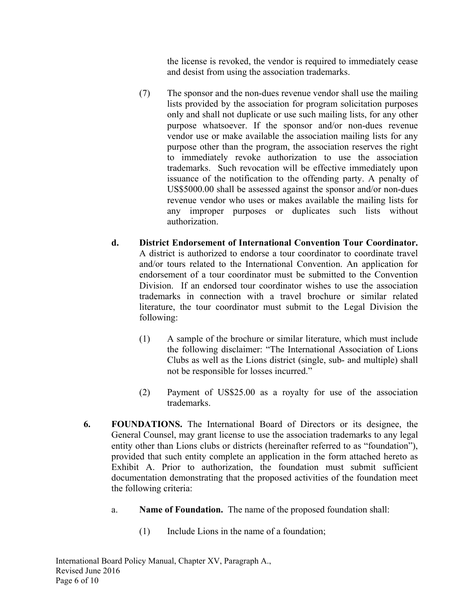the license is revoked, the vendor is required to immediately cease and desist from using the association trademarks.

- (7) The sponsor and the non-dues revenue vendor shall use the mailing lists provided by the association for program solicitation purposes only and shall not duplicate or use such mailing lists, for any other purpose whatsoever. If the sponsor and/or non-dues revenue vendor use or make available the association mailing lists for any purpose other than the program, the association reserves the right to immediately revoke authorization to use the association trademarks. Such revocation will be effective immediately upon issuance of the notification to the offending party. A penalty of US\$5000.00 shall be assessed against the sponsor and/or non-dues revenue vendor who uses or makes available the mailing lists for any improper purposes or duplicates such lists without authorization.
- **d. District Endorsement of International Convention Tour Coordinator.** A district is authorized to endorse a tour coordinator to coordinate travel and/or tours related to the International Convention. An application for endorsement of a tour coordinator must be submitted to the Convention Division. If an endorsed tour coordinator wishes to use the association trademarks in connection with a travel brochure or similar related literature, the tour coordinator must submit to the Legal Division the following:
	- (1) A sample of the brochure or similar literature, which must include the following disclaimer: "The International Association of Lions Clubs as well as the Lions district (single, sub- and multiple) shall not be responsible for losses incurred."
	- (2) Payment of US\$25.00 as a royalty for use of the association trademarks.
- **6. FOUNDATIONS.** The International Board of Directors or its designee, the General Counsel, may grant license to use the association trademarks to any legal entity other than Lions clubs or districts (hereinafter referred to as "foundation"), provided that such entity complete an application in the form attached hereto as Exhibit A. Prior to authorization, the foundation must submit sufficient documentation demonstrating that the proposed activities of the foundation meet the following criteria:
	- a. **Name of Foundation.** The name of the proposed foundation shall:
		- (1) Include Lions in the name of a foundation;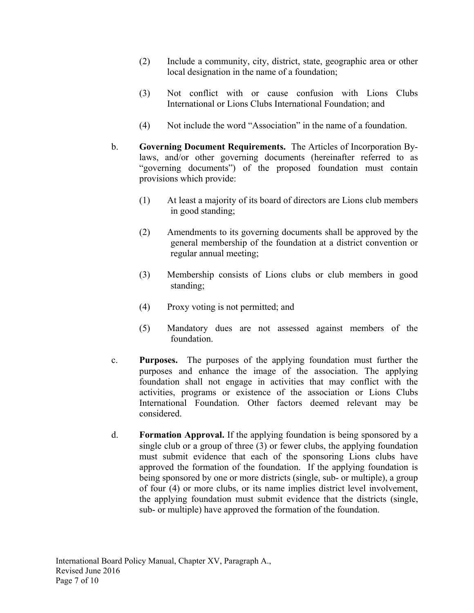- (2) Include a community, city, district, state, geographic area or other local designation in the name of a foundation;
- (3) Not conflict with or cause confusion with Lions Clubs International or Lions Clubs International Foundation; and
- (4) Not include the word "Association" in the name of a foundation.
- b. **Governing Document Requirements.** The Articles of Incorporation Bylaws, and/or other governing documents (hereinafter referred to as "governing documents") of the proposed foundation must contain provisions which provide:
	- (1) At least a majority of its board of directors are Lions club members in good standing;
	- (2) Amendments to its governing documents shall be approved by the general membership of the foundation at a district convention or regular annual meeting;
	- (3) Membership consists of Lions clubs or club members in good standing;
	- (4) Proxy voting is not permitted; and
	- (5) Mandatory dues are not assessed against members of the foundation.
- c. **Purposes.** The purposes of the applying foundation must further the purposes and enhance the image of the association. The applying foundation shall not engage in activities that may conflict with the activities, programs or existence of the association or Lions Clubs International Foundation. Other factors deemed relevant may be considered.
- d. **Formation Approval.** If the applying foundation is being sponsored by a single club or a group of three  $(3)$  or fewer clubs, the applying foundation must submit evidence that each of the sponsoring Lions clubs have approved the formation of the foundation. If the applying foundation is being sponsored by one or more districts (single, sub- or multiple), a group of four (4) or more clubs, or its name implies district level involvement, the applying foundation must submit evidence that the districts (single, sub- or multiple) have approved the formation of the foundation.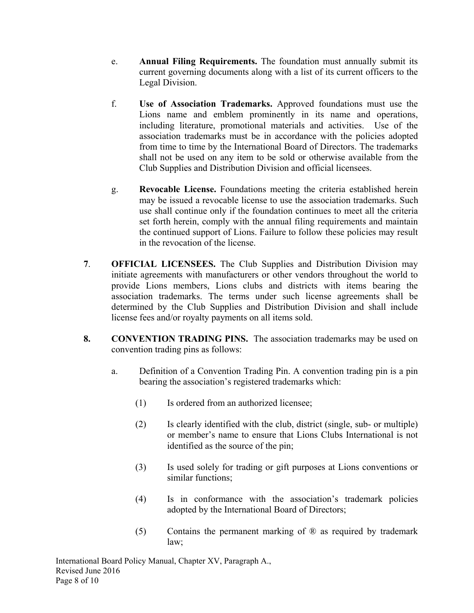- e. **Annual Filing Requirements.** The foundation must annually submit its current governing documents along with a list of its current officers to the Legal Division.
- f. **Use of Association Trademarks.** Approved foundations must use the Lions name and emblem prominently in its name and operations, including literature, promotional materials and activities. Use of the association trademarks must be in accordance with the policies adopted from time to time by the International Board of Directors. The trademarks shall not be used on any item to be sold or otherwise available from the Club Supplies and Distribution Division and official licensees.
- g. **Revocable License.** Foundations meeting the criteria established herein may be issued a revocable license to use the association trademarks. Such use shall continue only if the foundation continues to meet all the criteria set forth herein, comply with the annual filing requirements and maintain the continued support of Lions. Failure to follow these policies may result in the revocation of the license.
- **7**. **OFFICIAL LICENSEES.** The Club Supplies and Distribution Division may initiate agreements with manufacturers or other vendors throughout the world to provide Lions members, Lions clubs and districts with items bearing the association trademarks. The terms under such license agreements shall be determined by the Club Supplies and Distribution Division and shall include license fees and/or royalty payments on all items sold.
- **8. CONVENTION TRADING PINS.** The association trademarks may be used on convention trading pins as follows:
	- a. Definition of a Convention Trading Pin. A convention trading pin is a pin bearing the association's registered trademarks which:
		- (1) Is ordered from an authorized licensee;
		- (2) Is clearly identified with the club, district (single, sub- or multiple) or member's name to ensure that Lions Clubs International is not identified as the source of the pin;
		- (3) Is used solely for trading or gift purposes at Lions conventions or similar functions;
		- (4) Is in conformance with the association's trademark policies adopted by the International Board of Directors;
		- (5) Contains the permanent marking of ® as required by trademark law;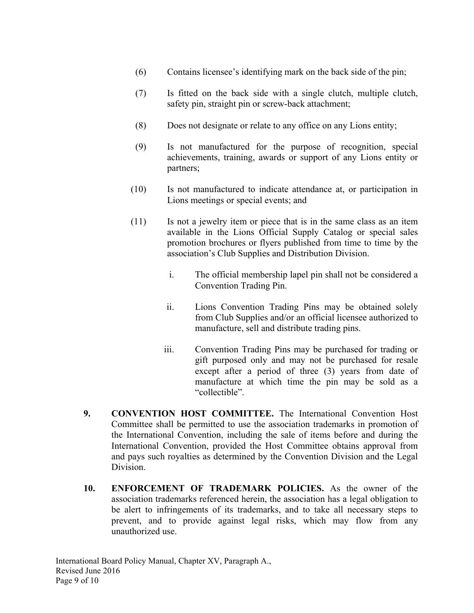- (6) Contains licensee's identifying mark on the back side of the pin;
- (7) Is fitted on the back side with a single clutch, multiple clutch, safety pin, straight pin or screw-back attachment;
- (8) Does not designate or relate to any office on any Lions entity;
- (9) Is not manufactured for the purpose of recognition, special achievements, training, awards or support of any Lions entity or partners;
- (10) Is not manufactured to indicate attendance at, or participation in Lions meetings or special events; and
- (11) Is not a jewelry item or piece that is in the same class as an item available in the Lions Official Supply Catalog or special sales promotion brochures or flyers published from time to time by the association's Club Supplies and Distribution Division.
	- i. The official membership lapel pin shall not be considered a Convention Trading Pin.
	- ii. Lions Convention Trading Pins may be obtained solely from Club Supplies and/or an official licensee authorized to manufacture, sell and distribute trading pins.
	- iii. Convention Trading Pins may be purchased for trading or gift purposed only and may not be purchased for resale except after a period of three (3) years from date of manufacture at which time the pin may be sold as a "collectible".
- **9. CONVENTION HOST COMMITTEE.** The International Convention Host Committee shall be permitted to use the association trademarks in promotion of the International Convention, including the sale of items before and during the International Convention, provided the Host Committee obtains approval from and pays such royalties as determined by the Convention Division and the Legal Division.
- **10. ENFORCEMENT OF TRADEMARK POLICIES.** As the owner of the association trademarks referenced herein, the association has a legal obligation to be alert to infringements of its trademarks, and to take all necessary steps to prevent, and to provide against legal risks, which may flow from any unauthorized use.